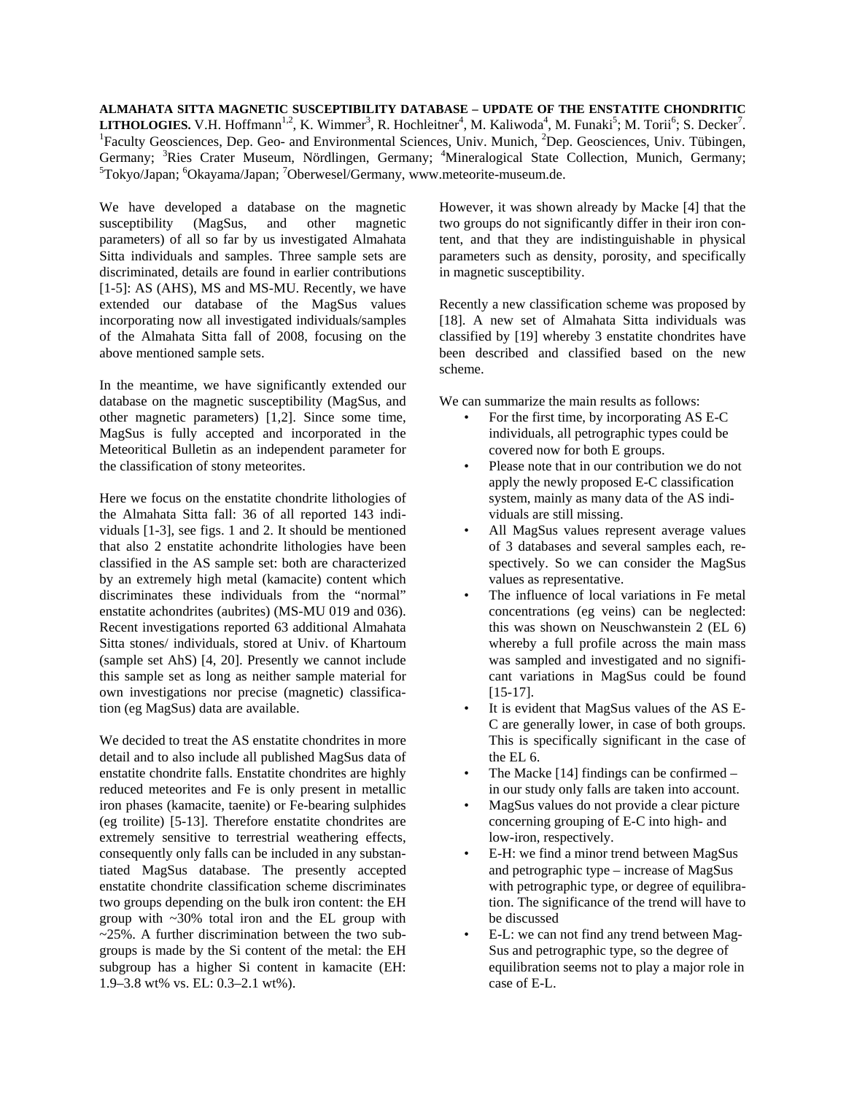**ALMAHATA SITTA MAGNETIC SUSCEPTIBILITY DATABASE – UPDATE OF THE ENSTATITE CHONDRITIC LITHOLOGIES.** V.H. Hoffmann<sup>1,2</sup>, K. Wimmer<sup>3</sup>, R. Hochleitner<sup>4</sup>, M. Kaliwoda<sup>4</sup>, M. Funaki<sup>5</sup>; M. Torii<sup>6</sup>; S. Decker<sup>7</sup>.<br><sup>1</sup> Feaulty Geoscioness, Den. Geo. and Environmental Sciences, Univ. Munich. <sup>2</sup> Den. Geoscioness Faculty Geosciences, Dep. Geo- and Environmental Sciences, Univ. Munich, <sup>2</sup>Dep. Geosciences, Univ. Tübingen, Germany; <sup>3</sup>Ries Crater Museum, Nördlingen, Germany; <sup>4</sup>Mineralogical State Collection, Munich, Germany;<br><sup>5</sup>Telsys(Japan<sup>, 5</sup>Okayama(Japan, 7Oberwasa)(Germany, www.mateorita.myseum.do Tokyo/Japan; <sup>6</sup>Okayama/Japan; <sup>7</sup>Oberwesel/Germany, www.meteorite-museum.de.

We have developed a database on the magnetic susceptibility (MagSus, and other magnetic parameters) of all so far by us investigated Almahata Sitta individuals and samples. Three sample sets are discriminated, details are found in earlier contributions [1-5]: AS (AHS), MS and MS-MU. Recently, we have extended our database of the MagSus values incorporating now all investigated individuals/samples of the Almahata Sitta fall of 2008, focusing on the above mentioned sample sets.

In the meantime, we have significantly extended our database on the magnetic susceptibility (MagSus, and other magnetic parameters) [1,2]. Since some time, MagSus is fully accepted and incorporated in the Meteoritical Bulletin as an independent parameter for the classification of stony meteorites.

Here we focus on the enstatite chondrite lithologies of the Almahata Sitta fall: 36 of all reported 143 individuals [1-3], see figs. 1 and 2. It should be mentioned that also 2 enstatite achondrite lithologies have been classified in the AS sample set: both are characterized by an extremely high metal (kamacite) content which discriminates these individuals from the "normal" enstatite achondrites (aubrites) (MS-MU 019 and 036). Recent investigations reported 63 additional Almahata Sitta stones/ individuals, stored at Univ. of Khartoum (sample set AhS) [4, 20]. Presently we cannot include this sample set as long as neither sample material for own investigations nor precise (magnetic) classification (eg MagSus) data are available.

We decided to treat the AS enstatite chondrites in more detail and to also include all published MagSus data of enstatite chondrite falls. Enstatite chondrites are highly reduced meteorites and Fe is only present in metallic iron phases (kamacite, taenite) or Fe-bearing sulphides (eg troilite) [5-13]. Therefore enstatite chondrites are extremely sensitive to terrestrial weathering effects, consequently only falls can be included in any substantiated MagSus database. The presently accepted enstatite chondrite classification scheme discriminates two groups depending on the bulk iron content: the EH group with ~30% total iron and the EL group with ~25%. A further discrimination between the two subgroups is made by the Si content of the metal: the EH subgroup has a higher Si content in kamacite (EH: 1.9–3.8 wt% vs. EL: 0.3–2.1 wt%).

However, it was shown already by Macke [4] that the two groups do not significantly differ in their iron content, and that they are indistinguishable in physical parameters such as density, porosity, and specifically in magnetic susceptibility.

Recently a new classification scheme was proposed by [18]. A new set of Almahata Sitta individuals was classified by [19] whereby 3 enstatite chondrites have been described and classified based on the new scheme.

We can summarize the main results as follows:

- For the first time, by incorporating AS E-C individuals, all petrographic types could be covered now for both E groups.
- Please note that in our contribution we do not apply the newly proposed E-C classification system, mainly as many data of the AS individuals are still missing.
- All MagSus values represent average values of 3 databases and several samples each, respectively. So we can consider the MagSus values as representative.
- The influence of local variations in Fe metal concentrations (eg veins) can be neglected: this was shown on Neuschwanstein 2 (EL 6) whereby a full profile across the main mass was sampled and investigated and no significant variations in MagSus could be found [15-17].
- It is evident that MagSus values of the AS E-C are generally lower, in case of both groups. This is specifically significant in the case of the EL 6.
- The Macke  $[14]$  findings can be confirmed in our study only falls are taken into account.
- MagSus values do not provide a clear picture concerning grouping of E-C into high- and low-iron, respectively.
- E-H: we find a minor trend between MagSus and petrographic type – increase of MagSus with petrographic type, or degree of equilibration. The significance of the trend will have to be discussed
- E-L: we can not find any trend between Mag-Sus and petrographic type, so the degree of equilibration seems not to play a major role in case of E-L.